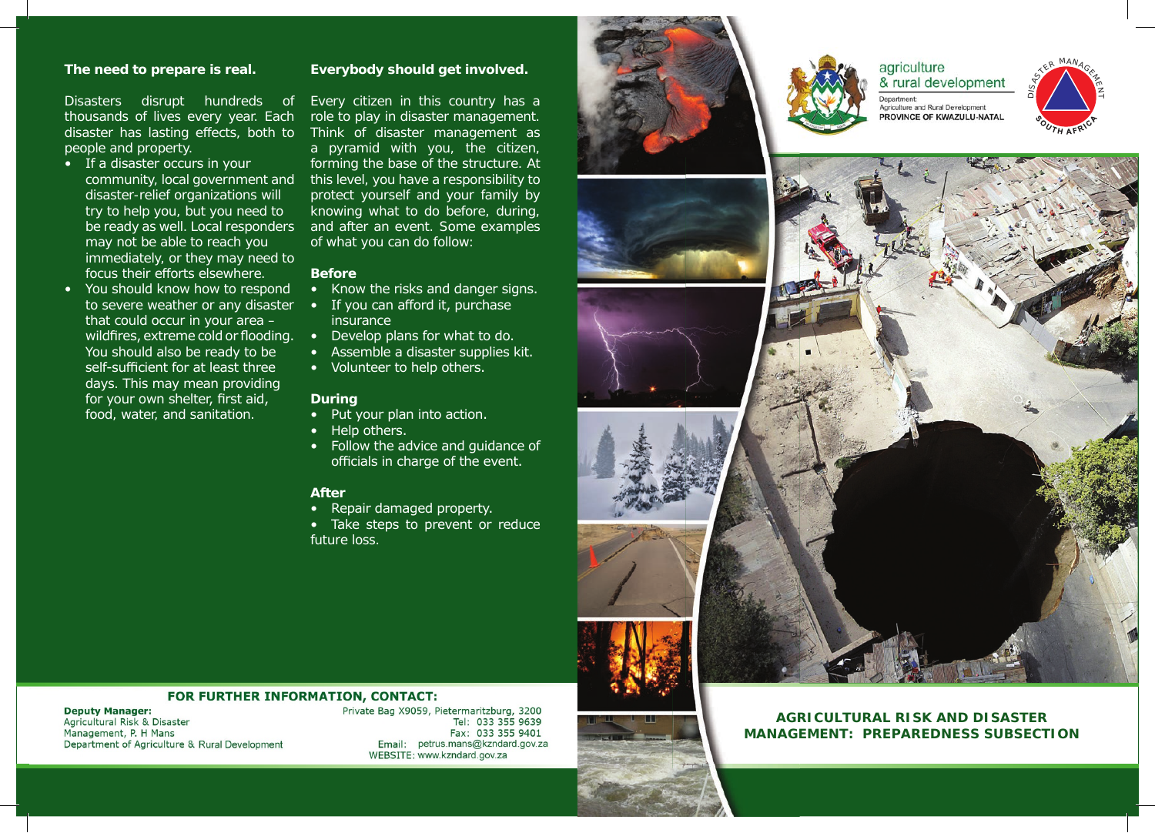## *The need to prepare is real.*

Disasters disrupt hundreds of thousands of lives every year. Each disaster has lasting effects, both to people and property.

- If a disaster occurs in your community, local government and disaster-relief organizations will try to help you, but you need to be ready as well. Local responders may not be able to reach you immediately, or they may need to focus their efforts elsewhere.
- You should know how to respond to severe weather or any disaster that could occur in your area – wildfires, extreme cold or flooding. You should also be ready to be self-sufficient for at least three days. This may mean providing for your own shelter, first aid, food, water, and sanitation.

## *Everybody should get involved.*

Every citizen in this country has a role to play in disaster management. Think of disaster management as a pyramid with you, the citizen, forming the base of the structure. At this level, you have a responsibility to protect yourself and your family by knowing what to do before, during, and after an event. Some examples of what you can do follow:

## **Before**

- Know the risks and danger signs.
- If you can afford it, purchase insurance
- Develop plans for what to do.
- Assemble a disaster supplies kit.
- Volunteer to help others.

## **During**

- Put your plan into action.
- Help others.
- Follow the advice and guidance of officials in charge of the event.

## **After**

- Repair damaged property.
- Take steps to prevent or reduce future loss.





# agriculture & rural development

Department: Agriculture and Rural Development PROVINCE OF KWAZULU-NATAL





#### **FOR FURTHER INFORMATION, CONTACT:**

**Deputy Manager:**  Agricultural Risk & Disaster Management, P. H Mans

Department of Agriculture & Rural Development

Private Bag X9059, Pietermaritzburg, 3200 Tel: 033 355 9639 Fax: 033 355 9401 Email: petrus.mans@kzndard.gov.za WEBSITE: www.kzndard.gov.za



**AGRICULTURAL RISK AND DISASTER MANAGEMENT: PREPAREDNESS SUBSECTION**